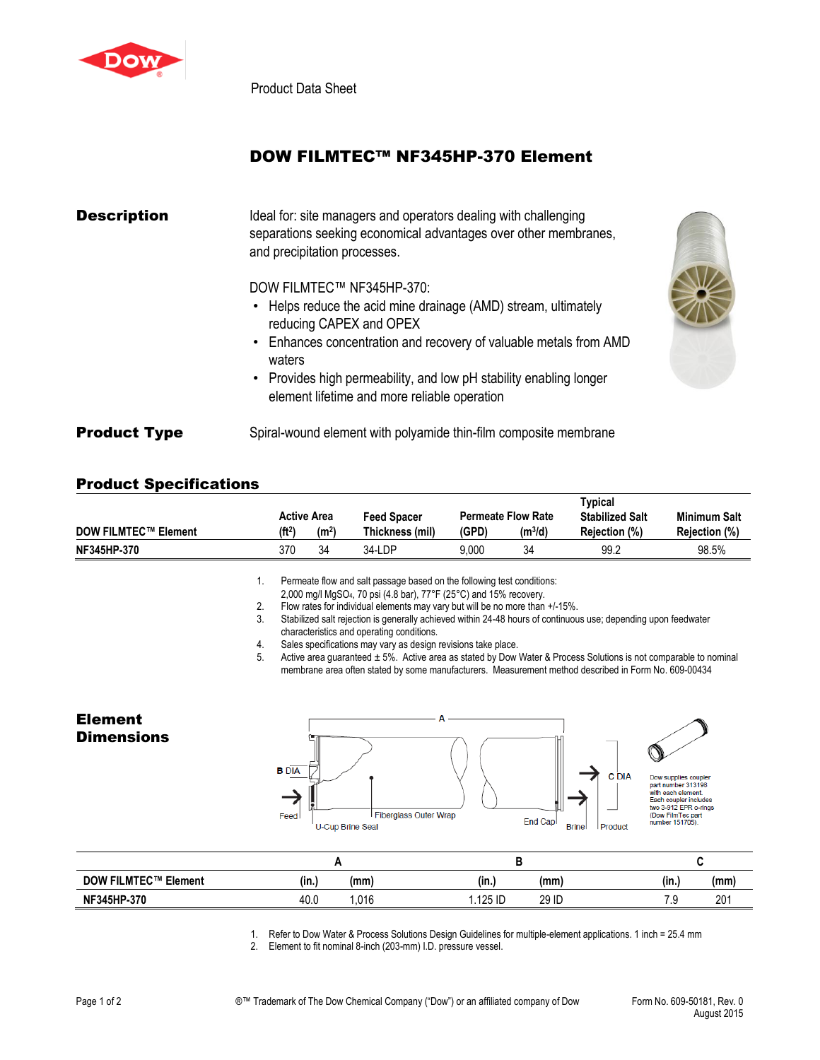

Product Data Sheet

## DOW FILMTEC™ NF345HP-370 Element

| <b>Description</b>  | Ideal for: site managers and operators dealing with challenging<br>separations seeking economical advantages over other membranes,<br>and precipitation processes.                                                                                                          |  |  |  |  |
|---------------------|-----------------------------------------------------------------------------------------------------------------------------------------------------------------------------------------------------------------------------------------------------------------------------|--|--|--|--|
|                     | DOW FILMTEC™ NF345HP-370:<br>• Helps reduce the acid mine drainage (AMD) stream, ultimately<br>reducing CAPEX and OPEX<br>• Enhances concentration and recovery of valuable metals from AMD<br>waters<br>• Provides high permeability, and low pH stability enabling longer |  |  |  |  |
| <b>Product Type</b> | element lifetime and more reliable operation<br>Spiral-wound element with polyamide thin-film composite membrane                                                                                                                                                            |  |  |  |  |

## Product Specifications

|                             | <b>Active Area</b><br>Feed Spacer |                   |                 |       | <b>Permeate Flow Rate</b> | Typical<br><b>Stabilized Salt</b> | <b>Minimum Salt</b>  |
|-----------------------------|-----------------------------------|-------------------|-----------------|-------|---------------------------|-----------------------------------|----------------------|
| <b>DOW FILMTEC™ Element</b> | (ft <sup>2</sup> )                | (m <sup>2</sup> ) | Thickness (mil) | (GPD) | (m3/d)                    | Rejection (%)                     | <b>Rejection (%)</b> |
| NF345HP-370                 | 370                               | 34                | 34-LDP          | 9.000 | 34                        | 99.2                              | 98.5%                |

1. Permeate flow and salt passage based on the following test conditions:

2,000 mg/l MgSO4, 70 psi (4.8 bar), 77°F (25°C) and 15% recovery.

- 
- 2. Flow rates for individual elements may vary but will be no more than +/-15%.<br>3. Stabilized salt rejection is generally achieved within 24-48 hours of continuou Stabilized salt rejection is generally achieved within 24-48 hours of continuous use; depending upon feedwater characteristics and operating conditions.
- 4. Sales specifications may vary as design revisions take place.<br>5. Active area guaranteed  $\pm$  5%. Active area as stated by Dow \

Active area guaranteed ± 5%. Active area as stated by Dow Water & Process Solutions is not comparable to nominal membrane area often stated by some manufacturers. Measurement method described in Form No. 609-00434



1. Refer to Dow Water & Process Solutions Design Guidelines for multiple-element applications. 1 inch = 25.4 mm

2. Element to fit nominal 8-inch (203-mm) I.D. pressure vessel.